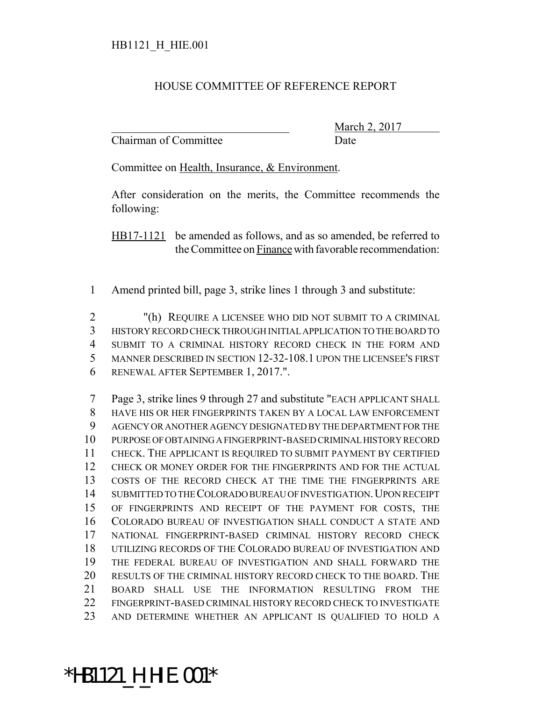#### HOUSE COMMITTEE OF REFERENCE REPORT

Chairman of Committee Date

March 2, 2017

Committee on Health, Insurance, & Environment.

After consideration on the merits, the Committee recommends the following:

HB17-1121 be amended as follows, and as so amended, be referred to the Committee on Finance with favorable recommendation:

Amend printed bill, page 3, strike lines 1 through 3 and substitute:

 "(h) REQUIRE A LICENSEE WHO DID NOT SUBMIT TO A CRIMINAL HISTORY RECORD CHECK THROUGH INITIAL APPLICATION TO THE BOARD TO SUBMIT TO A CRIMINAL HISTORY RECORD CHECK IN THE FORM AND MANNER DESCRIBED IN SECTION 12-32-108.1 UPON THE LICENSEE'S FIRST RENEWAL AFTER SEPTEMBER 1, 2017.".

 Page 3, strike lines 9 through 27 and substitute "EACH APPLICANT SHALL HAVE HIS OR HER FINGERPRINTS TAKEN BY A LOCAL LAW ENFORCEMENT AGENCY OR ANOTHER AGENCY DESIGNATED BY THE DEPARTMENT FOR THE PURPOSE OF OBTAINING A FINGERPRINT-BASED CRIMINAL HISTORY RECORD CHECK. THE APPLICANT IS REQUIRED TO SUBMIT PAYMENT BY CERTIFIED CHECK OR MONEY ORDER FOR THE FINGERPRINTS AND FOR THE ACTUAL COSTS OF THE RECORD CHECK AT THE TIME THE FINGERPRINTS ARE 14 SUBMITTED TO THE COLORADO BUREAU OF INVESTIGATION. UPON RECEIPT OF FINGERPRINTS AND RECEIPT OF THE PAYMENT FOR COSTS, THE COLORADO BUREAU OF INVESTIGATION SHALL CONDUCT A STATE AND NATIONAL FINGERPRINT-BASED CRIMINAL HISTORY RECORD CHECK UTILIZING RECORDS OF THE COLORADO BUREAU OF INVESTIGATION AND THE FEDERAL BUREAU OF INVESTIGATION AND SHALL FORWARD THE RESULTS OF THE CRIMINAL HISTORY RECORD CHECK TO THE BOARD. THE BOARD SHALL USE THE INFORMATION RESULTING FROM THE FINGERPRINT-BASED CRIMINAL HISTORY RECORD CHECK TO INVESTIGATE AND DETERMINE WHETHER AN APPLICANT IS QUALIFIED TO HOLD A

# \*HB1121\_H\_HIE.001\*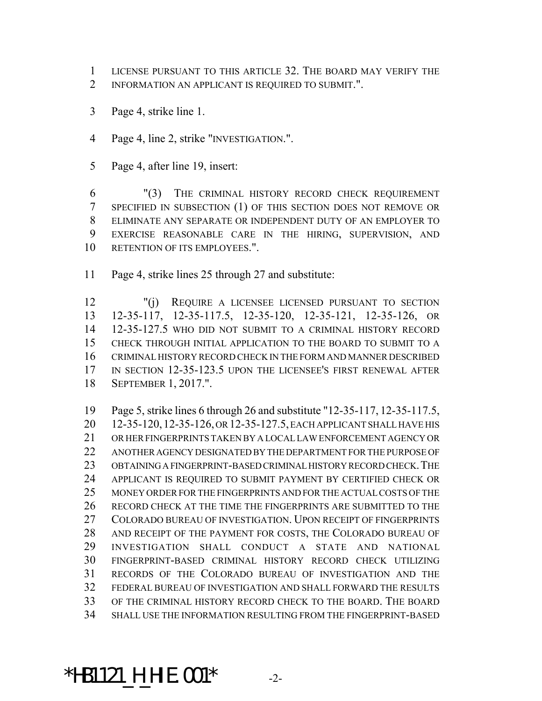- LICENSE PURSUANT TO THIS ARTICLE 32. THE BOARD MAY VERIFY THE
- INFORMATION AN APPLICANT IS REQUIRED TO SUBMIT.".
- Page 4, strike line 1.
- Page 4, line 2, strike "INVESTIGATION.".
- Page 4, after line 19, insert:

 "(3) THE CRIMINAL HISTORY RECORD CHECK REQUIREMENT SPECIFIED IN SUBSECTION (1) OF THIS SECTION DOES NOT REMOVE OR ELIMINATE ANY SEPARATE OR INDEPENDENT DUTY OF AN EMPLOYER TO EXERCISE REASONABLE CARE IN THE HIRING, SUPERVISION, AND RETENTION OF ITS EMPLOYEES.".

Page 4, strike lines 25 through 27 and substitute:

 "(j) REQUIRE A LICENSEE LICENSED PURSUANT TO SECTION 12-35-117, 12-35-117.5, 12-35-120, 12-35-121, 12-35-126, OR 12-35-127.5 WHO DID NOT SUBMIT TO A CRIMINAL HISTORY RECORD CHECK THROUGH INITIAL APPLICATION TO THE BOARD TO SUBMIT TO A CRIMINAL HISTORY RECORD CHECK IN THE FORM AND MANNER DESCRIBED IN SECTION 12-35-123.5 UPON THE LICENSEE'S FIRST RENEWAL AFTER SEPTEMBER 1, 2017.".

 Page 5, strike lines 6 through 26 and substitute "12-35-117, 12-35-117.5, 12-35-120,12-35-126, OR 12-35-127.5, EACH APPLICANT SHALL HAVE HIS OR HER FINGERPRINTS TAKEN BY A LOCAL LAW ENFORCEMENT AGENCY OR ANOTHER AGENCY DESIGNATED BY THE DEPARTMENT FOR THE PURPOSE OF OBTAINING A FINGERPRINT-BASED CRIMINAL HISTORY RECORD CHECK.THE APPLICANT IS REQUIRED TO SUBMIT PAYMENT BY CERTIFIED CHECK OR MONEY ORDER FOR THE FINGERPRINTS AND FOR THE ACTUAL COSTS OF THE RECORD CHECK AT THE TIME THE FINGERPRINTS ARE SUBMITTED TO THE COLORADO BUREAU OF INVESTIGATION. UPON RECEIPT OF FINGERPRINTS AND RECEIPT OF THE PAYMENT FOR COSTS, THE COLORADO BUREAU OF INVESTIGATION SHALL CONDUCT A STATE AND NATIONAL FINGERPRINT-BASED CRIMINAL HISTORY RECORD CHECK UTILIZING RECORDS OF THE COLORADO BUREAU OF INVESTIGATION AND THE FEDERAL BUREAU OF INVESTIGATION AND SHALL FORWARD THE RESULTS OF THE CRIMINAL HISTORY RECORD CHECK TO THE BOARD. THE BOARD SHALL USE THE INFORMATION RESULTING FROM THE FINGERPRINT-BASED

## \*HB1121\_H\_HIE.001\* -2-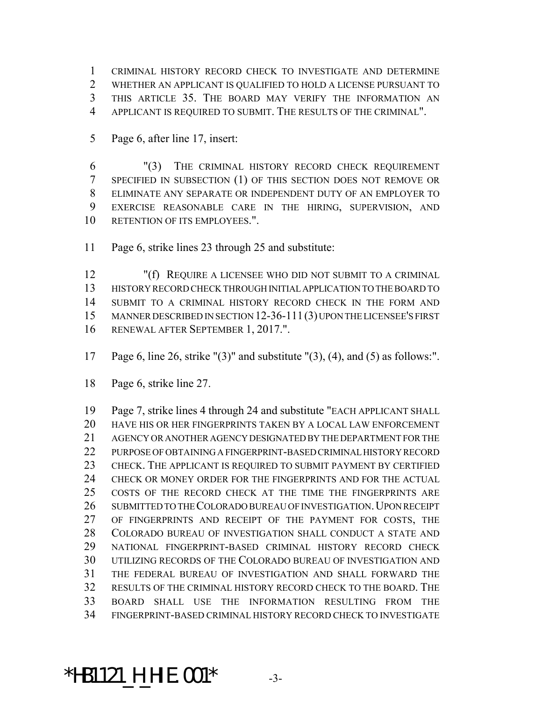CRIMINAL HISTORY RECORD CHECK TO INVESTIGATE AND DETERMINE WHETHER AN APPLICANT IS QUALIFIED TO HOLD A LICENSE PURSUANT TO THIS ARTICLE 35. THE BOARD MAY VERIFY THE INFORMATION AN APPLICANT IS REQUIRED TO SUBMIT. THE RESULTS OF THE CRIMINAL".

Page 6, after line 17, insert:

 "(3) THE CRIMINAL HISTORY RECORD CHECK REQUIREMENT SPECIFIED IN SUBSECTION (1) OF THIS SECTION DOES NOT REMOVE OR ELIMINATE ANY SEPARATE OR INDEPENDENT DUTY OF AN EMPLOYER TO EXERCISE REASONABLE CARE IN THE HIRING, SUPERVISION, AND 10 RETENTION OF ITS EMPLOYEES.".

Page 6, strike lines 23 through 25 and substitute:

 "(f) REQUIRE A LICENSEE WHO DID NOT SUBMIT TO A CRIMINAL HISTORY RECORD CHECK THROUGH INITIAL APPLICATION TO THE BOARD TO SUBMIT TO A CRIMINAL HISTORY RECORD CHECK IN THE FORM AND MANNER DESCRIBED IN SECTION 12-36-111(3) UPON THE LICENSEE'S FIRST RENEWAL AFTER SEPTEMBER 1, 2017.".

- Page 6, line 26, strike "(3)" and substitute "(3), (4), and (5) as follows:".
- Page 6, strike line 27.

 Page 7, strike lines 4 through 24 and substitute "EACH APPLICANT SHALL HAVE HIS OR HER FINGERPRINTS TAKEN BY A LOCAL LAW ENFORCEMENT AGENCY OR ANOTHER AGENCY DESIGNATED BY THE DEPARTMENT FOR THE PURPOSE OF OBTAINING A FINGERPRINT-BASED CRIMINAL HISTORY RECORD CHECK. THE APPLICANT IS REQUIRED TO SUBMIT PAYMENT BY CERTIFIED CHECK OR MONEY ORDER FOR THE FINGERPRINTS AND FOR THE ACTUAL COSTS OF THE RECORD CHECK AT THE TIME THE FINGERPRINTS ARE 26 SUBMITTED TO THE COLORADO BUREAU OF INVESTIGATION. UPON RECEIPT 27 OF FINGERPRINTS AND RECEIPT OF THE PAYMENT FOR COSTS, THE COLORADO BUREAU OF INVESTIGATION SHALL CONDUCT A STATE AND NATIONAL FINGERPRINT-BASED CRIMINAL HISTORY RECORD CHECK UTILIZING RECORDS OF THE COLORADO BUREAU OF INVESTIGATION AND THE FEDERAL BUREAU OF INVESTIGATION AND SHALL FORWARD THE RESULTS OF THE CRIMINAL HISTORY RECORD CHECK TO THE BOARD. THE BOARD SHALL USE THE INFORMATION RESULTING FROM THE FINGERPRINT-BASED CRIMINAL HISTORY RECORD CHECK TO INVESTIGATE

#### \*HB1121\_H\_HIE.001\* -3-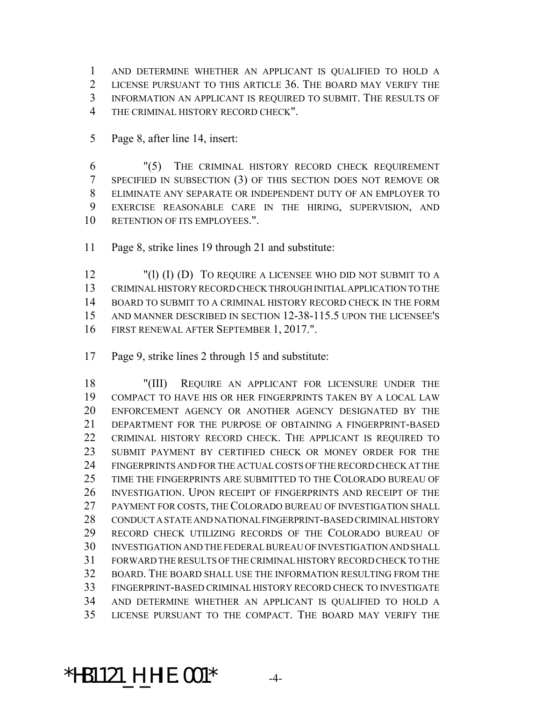AND DETERMINE WHETHER AN APPLICANT IS QUALIFIED TO HOLD A LICENSE PURSUANT TO THIS ARTICLE 36. THE BOARD MAY VERIFY THE INFORMATION AN APPLICANT IS REQUIRED TO SUBMIT. THE RESULTS OF THE CRIMINAL HISTORY RECORD CHECK".

Page 8, after line 14, insert:

 "(5) THE CRIMINAL HISTORY RECORD CHECK REQUIREMENT SPECIFIED IN SUBSECTION (3) OF THIS SECTION DOES NOT REMOVE OR ELIMINATE ANY SEPARATE OR INDEPENDENT DUTY OF AN EMPLOYER TO EXERCISE REASONABLE CARE IN THE HIRING, SUPERVISION, AND 10 RETENTION OF ITS EMPLOYEES.".

Page 8, strike lines 19 through 21 and substitute:

 "(l) (I) (D) TO REQUIRE A LICENSEE WHO DID NOT SUBMIT TO A CRIMINAL HISTORY RECORD CHECK THROUGH INITIAL APPLICATION TO THE BOARD TO SUBMIT TO A CRIMINAL HISTORY RECORD CHECK IN THE FORM AND MANNER DESCRIBED IN SECTION 12-38-115.5 UPON THE LICENSEE'S FIRST RENEWAL AFTER SEPTEMBER 1, 2017.".

Page 9, strike lines 2 through 15 and substitute:

 "(III) REQUIRE AN APPLICANT FOR LICENSURE UNDER THE COMPACT TO HAVE HIS OR HER FINGERPRINTS TAKEN BY A LOCAL LAW ENFORCEMENT AGENCY OR ANOTHER AGENCY DESIGNATED BY THE DEPARTMENT FOR THE PURPOSE OF OBTAINING A FINGERPRINT-BASED CRIMINAL HISTORY RECORD CHECK. THE APPLICANT IS REQUIRED TO SUBMIT PAYMENT BY CERTIFIED CHECK OR MONEY ORDER FOR THE FINGERPRINTS AND FOR THE ACTUAL COSTS OF THE RECORD CHECK AT THE TIME THE FINGERPRINTS ARE SUBMITTED TO THE COLORADO BUREAU OF INVESTIGATION. UPON RECEIPT OF FINGERPRINTS AND RECEIPT OF THE PAYMENT FOR COSTS, THE COLORADO BUREAU OF INVESTIGATION SHALL CONDUCT A STATE AND NATIONAL FINGERPRINT-BASED CRIMINAL HISTORY RECORD CHECK UTILIZING RECORDS OF THE COLORADO BUREAU OF INVESTIGATION AND THE FEDERAL BUREAU OF INVESTIGATION AND SHALL FORWARD THE RESULTS OF THE CRIMINAL HISTORY RECORD CHECK TO THE BOARD. THE BOARD SHALL USE THE INFORMATION RESULTING FROM THE FINGERPRINT-BASED CRIMINAL HISTORY RECORD CHECK TO INVESTIGATE AND DETERMINE WHETHER AN APPLICANT IS QUALIFIED TO HOLD A LICENSE PURSUANT TO THE COMPACT. THE BOARD MAY VERIFY THE

#### \*HB1121\_H\_HIE.001\* -4-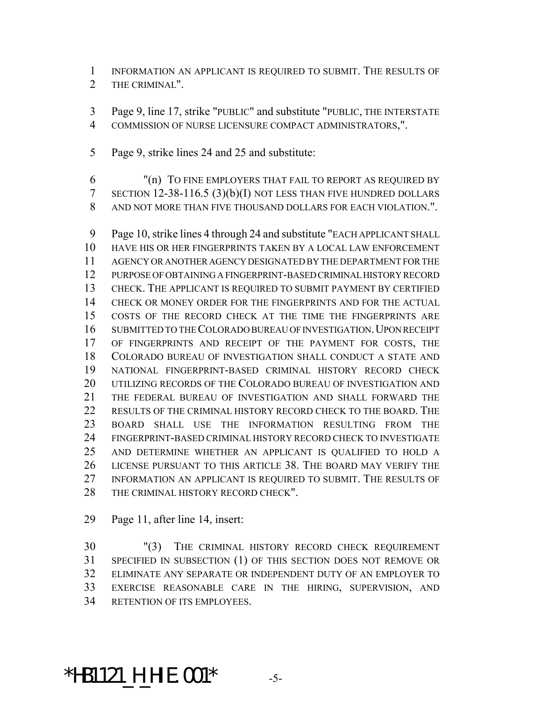INFORMATION AN APPLICANT IS REQUIRED TO SUBMIT. THE RESULTS OF THE CRIMINAL".

 Page 9, line 17, strike "PUBLIC" and substitute "PUBLIC, THE INTERSTATE COMMISSION OF NURSE LICENSURE COMPACT ADMINISTRATORS,".

Page 9, strike lines 24 and 25 and substitute:

 "(n) TO FINE EMPLOYERS THAT FAIL TO REPORT AS REQUIRED BY SECTION 12-38-116.5 (3)(b)(I) NOT LESS THAN FIVE HUNDRED DOLLARS AND NOT MORE THAN FIVE THOUSAND DOLLARS FOR EACH VIOLATION.".

 Page 10, strike lines 4 through 24 and substitute "EACH APPLICANT SHALL HAVE HIS OR HER FINGERPRINTS TAKEN BY A LOCAL LAW ENFORCEMENT AGENCY OR ANOTHER AGENCY DESIGNATED BY THE DEPARTMENT FOR THE PURPOSE OF OBTAINING A FINGERPRINT-BASED CRIMINAL HISTORY RECORD CHECK. THE APPLICANT IS REQUIRED TO SUBMIT PAYMENT BY CERTIFIED CHECK OR MONEY ORDER FOR THE FINGERPRINTS AND FOR THE ACTUAL COSTS OF THE RECORD CHECK AT THE TIME THE FINGERPRINTS ARE 16 SUBMITTED TO THE COLORADO BUREAU OF INVESTIGATION. UPON RECEIPT 17 OF FINGERPRINTS AND RECEIPT OF THE PAYMENT FOR COSTS, THE COLORADO BUREAU OF INVESTIGATION SHALL CONDUCT A STATE AND NATIONAL FINGERPRINT-BASED CRIMINAL HISTORY RECORD CHECK UTILIZING RECORDS OF THE COLORADO BUREAU OF INVESTIGATION AND THE FEDERAL BUREAU OF INVESTIGATION AND SHALL FORWARD THE 22 RESULTS OF THE CRIMINAL HISTORY RECORD CHECK TO THE BOARD. THE BOARD SHALL USE THE INFORMATION RESULTING FROM THE FINGERPRINT-BASED CRIMINAL HISTORY RECORD CHECK TO INVESTIGATE AND DETERMINE WHETHER AN APPLICANT IS QUALIFIED TO HOLD A LICENSE PURSUANT TO THIS ARTICLE 38. THE BOARD MAY VERIFY THE INFORMATION AN APPLICANT IS REQUIRED TO SUBMIT. THE RESULTS OF THE CRIMINAL HISTORY RECORD CHECK".

Page 11, after line 14, insert:

 "(3) THE CRIMINAL HISTORY RECORD CHECK REQUIREMENT SPECIFIED IN SUBSECTION (1) OF THIS SECTION DOES NOT REMOVE OR ELIMINATE ANY SEPARATE OR INDEPENDENT DUTY OF AN EMPLOYER TO EXERCISE REASONABLE CARE IN THE HIRING, SUPERVISION, AND RETENTION OF ITS EMPLOYEES.

### \*HB1121\_H\_HIE.001\* -5-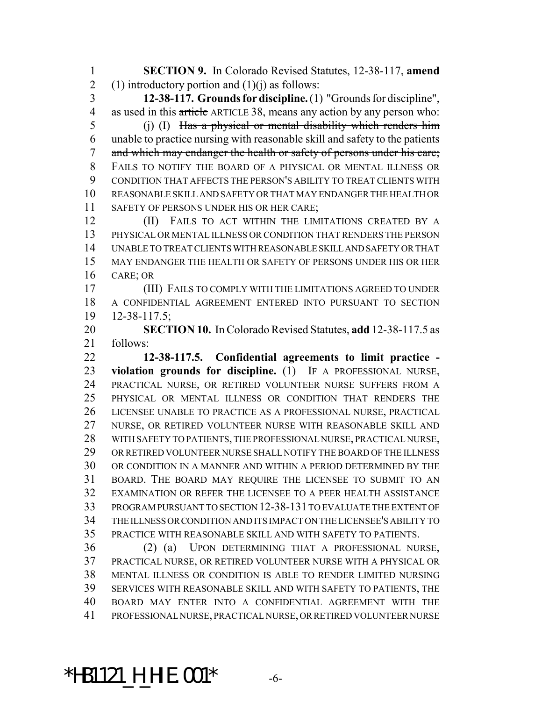**SECTION 9.** In Colorado Revised Statutes, 12-38-117, **amend** 2 (1) introductory portion and  $(1)(j)$  as follows:

 **12-38-117. Grounds for discipline.** (1) "Grounds for discipline", 4 as used in this article ARTICLE 38, means any action by any person who:

5 (j) (I) Has a physical or mental disability which renders him unable to practice nursing with reasonable skill and safety to the patients 7 and which may endanger the health or safety of persons under his care; FAILS TO NOTIFY THE BOARD OF A PHYSICAL OR MENTAL ILLNESS OR CONDITION THAT AFFECTS THE PERSON'S ABILITY TO TREAT CLIENTS WITH REASONABLE SKILL AND SAFETY OR THAT MAY ENDANGER THE HEALTH OR 11 SAFETY OF PERSONS UNDER HIS OR HER CARE;

**(II)** FAILS TO ACT WITHIN THE LIMITATIONS CREATED BY A PHYSICAL OR MENTAL ILLNESS OR CONDITION THAT RENDERS THE PERSON UNABLE TO TREAT CLIENTS WITH REASONABLE SKILL AND SAFETY OR THAT MAY ENDANGER THE HEALTH OR SAFETY OF PERSONS UNDER HIS OR HER CARE; OR

 (III) FAILS TO COMPLY WITH THE LIMITATIONS AGREED TO UNDER A CONFIDENTIAL AGREEMENT ENTERED INTO PURSUANT TO SECTION 12-38-117.5;

 **SECTION 10.** In Colorado Revised Statutes, **add** 12-38-117.5 as follows:

 **12-38-117.5. Confidential agreements to limit practice - violation grounds for discipline.** (1) IF A PROFESSIONAL NURSE, PRACTICAL NURSE, OR RETIRED VOLUNTEER NURSE SUFFERS FROM A PHYSICAL OR MENTAL ILLNESS OR CONDITION THAT RENDERS THE LICENSEE UNABLE TO PRACTICE AS A PROFESSIONAL NURSE, PRACTICAL NURSE, OR RETIRED VOLUNTEER NURSE WITH REASONABLE SKILL AND WITH SAFETY TO PATIENTS, THE PROFESSIONAL NURSE, PRACTICAL NURSE, OR RETIRED VOLUNTEER NURSE SHALL NOTIFY THE BOARD OF THE ILLNESS OR CONDITION IN A MANNER AND WITHIN A PERIOD DETERMINED BY THE BOARD. THE BOARD MAY REQUIRE THE LICENSEE TO SUBMIT TO AN EXAMINATION OR REFER THE LICENSEE TO A PEER HEALTH ASSISTANCE PROGRAM PURSUANT TO SECTION 12-38-131 TO EVALUATE THE EXTENT OF THE ILLNESS OR CONDITION AND ITS IMPACT ON THE LICENSEE'S ABILITY TO PRACTICE WITH REASONABLE SKILL AND WITH SAFETY TO PATIENTS.

 (2) (a) UPON DETERMINING THAT A PROFESSIONAL NURSE, PRACTICAL NURSE, OR RETIRED VOLUNTEER NURSE WITH A PHYSICAL OR MENTAL ILLNESS OR CONDITION IS ABLE TO RENDER LIMITED NURSING SERVICES WITH REASONABLE SKILL AND WITH SAFETY TO PATIENTS, THE BOARD MAY ENTER INTO A CONFIDENTIAL AGREEMENT WITH THE PROFESSIONAL NURSE, PRACTICAL NURSE, OR RETIRED VOLUNTEER NURSE

### \*HB1121\_H\_HIE.001\* -6-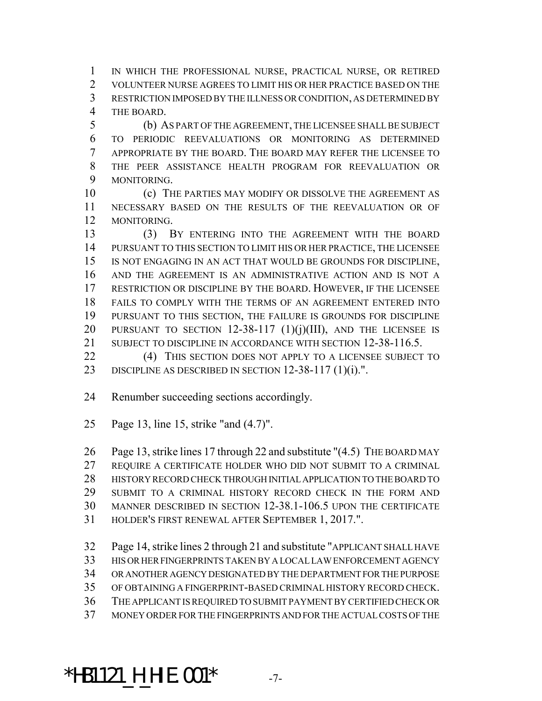IN WHICH THE PROFESSIONAL NURSE, PRACTICAL NURSE, OR RETIRED VOLUNTEER NURSE AGREES TO LIMIT HIS OR HER PRACTICE BASED ON THE RESTRICTION IMPOSED BY THE ILLNESS OR CONDITION, AS DETERMINED BY THE BOARD.

 (b) AS PART OF THE AGREEMENT, THE LICENSEE SHALL BE SUBJECT TO PERIODIC REEVALUATIONS OR MONITORING AS DETERMINED APPROPRIATE BY THE BOARD. THE BOARD MAY REFER THE LICENSEE TO THE PEER ASSISTANCE HEALTH PROGRAM FOR REEVALUATION OR MONITORING.

 (c) THE PARTIES MAY MODIFY OR DISSOLVE THE AGREEMENT AS NECESSARY BASED ON THE RESULTS OF THE REEVALUATION OR OF MONITORING.

 (3) BY ENTERING INTO THE AGREEMENT WITH THE BOARD PURSUANT TO THIS SECTION TO LIMIT HIS OR HER PRACTICE, THE LICENSEE IS NOT ENGAGING IN AN ACT THAT WOULD BE GROUNDS FOR DISCIPLINE, AND THE AGREEMENT IS AN ADMINISTRATIVE ACTION AND IS NOT A RESTRICTION OR DISCIPLINE BY THE BOARD. HOWEVER, IF THE LICENSEE FAILS TO COMPLY WITH THE TERMS OF AN AGREEMENT ENTERED INTO PURSUANT TO THIS SECTION, THE FAILURE IS GROUNDS FOR DISCIPLINE PURSUANT TO SECTION 12-38-117 (1)(j)(III), AND THE LICENSEE IS 21 SUBJECT TO DISCIPLINE IN ACCORDANCE WITH SECTION 12-38-116.5.

22 (4) THIS SECTION DOES NOT APPLY TO A LICENSEE SUBJECT TO 23 DISCIPLINE AS DESCRIBED IN SECTION 12-38-117 (1)(i).".

- Renumber succeeding sections accordingly.
- Page 13, line 15, strike "and (4.7)".

 Page 13, strike lines 17 through 22 and substitute "(4.5) THE BOARD MAY REQUIRE A CERTIFICATE HOLDER WHO DID NOT SUBMIT TO A CRIMINAL HISTORY RECORD CHECK THROUGH INITIAL APPLICATION TO THE BOARD TO

SUBMIT TO A CRIMINAL HISTORY RECORD CHECK IN THE FORM AND

MANNER DESCRIBED IN SECTION 12-38.1-106.5 UPON THE CERTIFICATE

- HOLDER'S FIRST RENEWAL AFTER SEPTEMBER 1, 2017.".
- Page 14, strike lines 2 through 21 and substitute "APPLICANT SHALL HAVE
- HIS OR HER FINGERPRINTS TAKEN BY A LOCAL LAW ENFORCEMENT AGENCY
- OR ANOTHER AGENCY DESIGNATED BY THE DEPARTMENT FOR THE PURPOSE
- OF OBTAINING A FINGERPRINT-BASED CRIMINAL HISTORY RECORD CHECK.
- THE APPLICANT IS REQUIRED TO SUBMIT PAYMENT BY CERTIFIED CHECK OR
- MONEY ORDER FOR THE FINGERPRINTS AND FOR THE ACTUAL COSTS OF THE

# \*HB1121\_H\_HIE.001\* -7-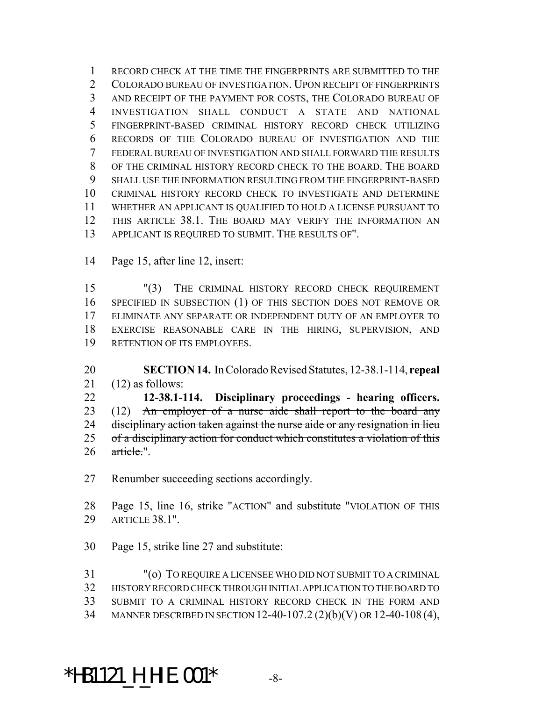RECORD CHECK AT THE TIME THE FINGERPRINTS ARE SUBMITTED TO THE 2 COLORADO BUREAU OF INVESTIGATION. UPON RECEIPT OF FINGERPRINTS AND RECEIPT OF THE PAYMENT FOR COSTS, THE COLORADO BUREAU OF INVESTIGATION SHALL CONDUCT A STATE AND NATIONAL FINGERPRINT-BASED CRIMINAL HISTORY RECORD CHECK UTILIZING RECORDS OF THE COLORADO BUREAU OF INVESTIGATION AND THE FEDERAL BUREAU OF INVESTIGATION AND SHALL FORWARD THE RESULTS OF THE CRIMINAL HISTORY RECORD CHECK TO THE BOARD. THE BOARD SHALL USE THE INFORMATION RESULTING FROM THE FINGERPRINT-BASED CRIMINAL HISTORY RECORD CHECK TO INVESTIGATE AND DETERMINE WHETHER AN APPLICANT IS QUALIFIED TO HOLD A LICENSE PURSUANT TO THIS ARTICLE 38.1. THE BOARD MAY VERIFY THE INFORMATION AN APPLICANT IS REQUIRED TO SUBMIT. THE RESULTS OF".

Page 15, after line 12, insert:

 "(3) THE CRIMINAL HISTORY RECORD CHECK REQUIREMENT SPECIFIED IN SUBSECTION (1) OF THIS SECTION DOES NOT REMOVE OR ELIMINATE ANY SEPARATE OR INDEPENDENT DUTY OF AN EMPLOYER TO EXERCISE REASONABLE CARE IN THE HIRING, SUPERVISION, AND RETENTION OF ITS EMPLOYEES.

 **SECTION 14.** In Colorado Revised Statutes, 12-38.1-114, **repeal** 21  $(12)$  as follows:

 **12-38.1-114. Disciplinary proceedings - hearing officers.** 23 (12) An employer of a nurse aide shall report to the board any 24 disciplinary action taken against the nurse aide or any resignation in lieu 25 of a disciplinary action for conduct which constitutes a violation of this article.".

Renumber succeeding sections accordingly.

 Page 15, line 16, strike "ACTION" and substitute "VIOLATION OF THIS ARTICLE 38.1".

Page 15, strike line 27 and substitute:

 "(o) TO REQUIRE A LICENSEE WHO DID NOT SUBMIT TO A CRIMINAL HISTORY RECORD CHECK THROUGH INITIAL APPLICATION TO THE BOARD TO SUBMIT TO A CRIMINAL HISTORY RECORD CHECK IN THE FORM AND MANNER DESCRIBED IN SECTION 12-40-107.2 (2)(b)(V) OR 12-40-108 (4),

### \*HB1121\_H\_HIE.001\* -8-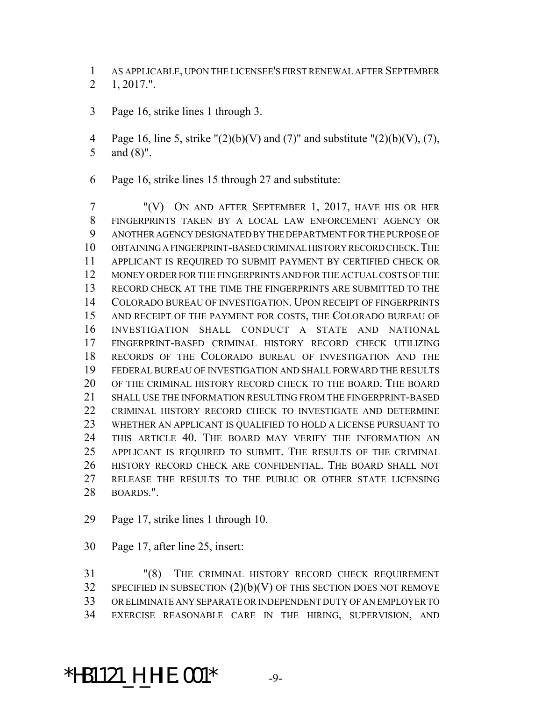AS APPLICABLE, UPON THE LICENSEE'S FIRST RENEWAL AFTER SEPTEMBER 1, 2017.".

- Page 16, strike lines 1 through 3.
- 4 Page 16, line 5, strike " $(2)(b)(V)$  and  $(7)$ " and substitute " $(2)(b)(V)$ ,  $(7)$ , and (8)".
- Page 16, strike lines 15 through 27 and substitute:

 "(V) ON AND AFTER SEPTEMBER 1, 2017, HAVE HIS OR HER FINGERPRINTS TAKEN BY A LOCAL LAW ENFORCEMENT AGENCY OR ANOTHER AGENCY DESIGNATED BY THE DEPARTMENT FOR THE PURPOSE OF OBTAINING A FINGERPRINT-BASED CRIMINAL HISTORY RECORD CHECK.THE APPLICANT IS REQUIRED TO SUBMIT PAYMENT BY CERTIFIED CHECK OR MONEY ORDER FOR THE FINGERPRINTS AND FOR THE ACTUAL COSTS OF THE RECORD CHECK AT THE TIME THE FINGERPRINTS ARE SUBMITTED TO THE COLORADO BUREAU OF INVESTIGATION. UPON RECEIPT OF FINGERPRINTS AND RECEIPT OF THE PAYMENT FOR COSTS, THE COLORADO BUREAU OF INVESTIGATION SHALL CONDUCT A STATE AND NATIONAL FINGERPRINT-BASED CRIMINAL HISTORY RECORD CHECK UTILIZING RECORDS OF THE COLORADO BUREAU OF INVESTIGATION AND THE FEDERAL BUREAU OF INVESTIGATION AND SHALL FORWARD THE RESULTS OF THE CRIMINAL HISTORY RECORD CHECK TO THE BOARD. THE BOARD SHALL USE THE INFORMATION RESULTING FROM THE FINGERPRINT-BASED 22 CRIMINAL HISTORY RECORD CHECK TO INVESTIGATE AND DETERMINE WHETHER AN APPLICANT IS QUALIFIED TO HOLD A LICENSE PURSUANT TO THIS ARTICLE 40. THE BOARD MAY VERIFY THE INFORMATION AN APPLICANT IS REQUIRED TO SUBMIT. THE RESULTS OF THE CRIMINAL HISTORY RECORD CHECK ARE CONFIDENTIAL. THE BOARD SHALL NOT RELEASE THE RESULTS TO THE PUBLIC OR OTHER STATE LICENSING BOARDS.".

- Page 17, strike lines 1 through 10.
- Page 17, after line 25, insert:

 "(8) THE CRIMINAL HISTORY RECORD CHECK REQUIREMENT SPECIFIED IN SUBSECTION  $(2)(b)(V)$  OF THIS SECTION DOES NOT REMOVE OR ELIMINATE ANY SEPARATE OR INDEPENDENT DUTY OF AN EMPLOYER TO EXERCISE REASONABLE CARE IN THE HIRING, SUPERVISION, AND

#### \*HB1121\_H\_HIE.001\* -9-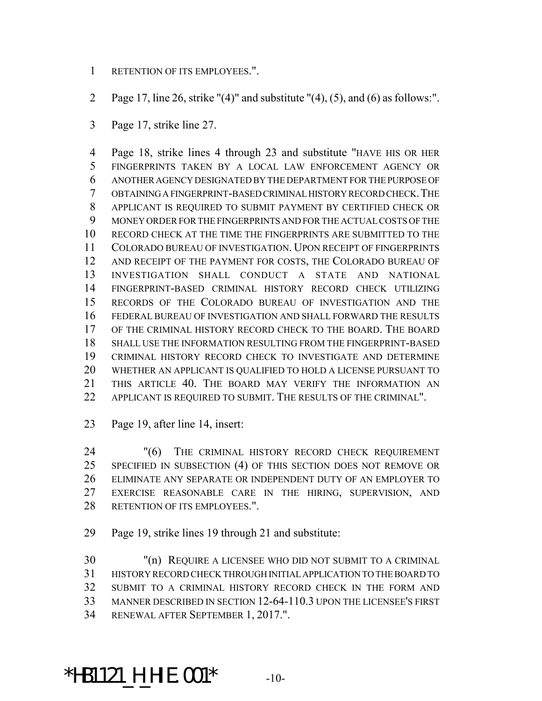- RETENTION OF ITS EMPLOYEES.".
- 2 Page 17, line 26, strike " $(4)$ " and substitute " $(4)$ ,  $(5)$ , and  $(6)$  as follows:".
- Page 17, strike line 27.

 Page 18, strike lines 4 through 23 and substitute "HAVE HIS OR HER FINGERPRINTS TAKEN BY A LOCAL LAW ENFORCEMENT AGENCY OR ANOTHER AGENCY DESIGNATED BY THE DEPARTMENT FOR THE PURPOSE OF OBTAINING A FINGERPRINT-BASED CRIMINAL HISTORY RECORD CHECK.THE APPLICANT IS REQUIRED TO SUBMIT PAYMENT BY CERTIFIED CHECK OR MONEY ORDER FOR THE FINGERPRINTS AND FOR THE ACTUAL COSTS OF THE RECORD CHECK AT THE TIME THE FINGERPRINTS ARE SUBMITTED TO THE COLORADO BUREAU OF INVESTIGATION. UPON RECEIPT OF FINGERPRINTS AND RECEIPT OF THE PAYMENT FOR COSTS, THE COLORADO BUREAU OF INVESTIGATION SHALL CONDUCT A STATE AND NATIONAL FINGERPRINT-BASED CRIMINAL HISTORY RECORD CHECK UTILIZING RECORDS OF THE COLORADO BUREAU OF INVESTIGATION AND THE FEDERAL BUREAU OF INVESTIGATION AND SHALL FORWARD THE RESULTS OF THE CRIMINAL HISTORY RECORD CHECK TO THE BOARD. THE BOARD SHALL USE THE INFORMATION RESULTING FROM THE FINGERPRINT-BASED CRIMINAL HISTORY RECORD CHECK TO INVESTIGATE AND DETERMINE WHETHER AN APPLICANT IS QUALIFIED TO HOLD A LICENSE PURSUANT TO THIS ARTICLE 40. THE BOARD MAY VERIFY THE INFORMATION AN APPLICANT IS REQUIRED TO SUBMIT. THE RESULTS OF THE CRIMINAL".

Page 19, after line 14, insert:

 "(6) THE CRIMINAL HISTORY RECORD CHECK REQUIREMENT SPECIFIED IN SUBSECTION (4) OF THIS SECTION DOES NOT REMOVE OR ELIMINATE ANY SEPARATE OR INDEPENDENT DUTY OF AN EMPLOYER TO EXERCISE REASONABLE CARE IN THE HIRING, SUPERVISION, AND RETENTION OF ITS EMPLOYEES.".

Page 19, strike lines 19 through 21 and substitute:

 "(n) REQUIRE A LICENSEE WHO DID NOT SUBMIT TO A CRIMINAL HISTORY RECORD CHECK THROUGH INITIAL APPLICATION TO THE BOARD TO SUBMIT TO A CRIMINAL HISTORY RECORD CHECK IN THE FORM AND MANNER DESCRIBED IN SECTION 12-64-110.3 UPON THE LICENSEE'S FIRST RENEWAL AFTER SEPTEMBER 1, 2017.".

# \*HB1121\_H\_HIE.001\* -10-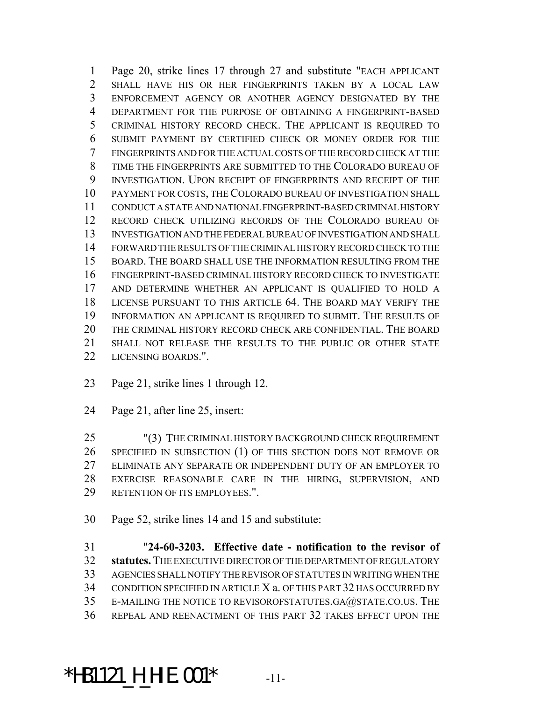Page 20, strike lines 17 through 27 and substitute "EACH APPLICANT SHALL HAVE HIS OR HER FINGERPRINTS TAKEN BY A LOCAL LAW ENFORCEMENT AGENCY OR ANOTHER AGENCY DESIGNATED BY THE DEPARTMENT FOR THE PURPOSE OF OBTAINING A FINGERPRINT-BASED CRIMINAL HISTORY RECORD CHECK. THE APPLICANT IS REQUIRED TO SUBMIT PAYMENT BY CERTIFIED CHECK OR MONEY ORDER FOR THE FINGERPRINTS AND FOR THE ACTUAL COSTS OF THE RECORD CHECK AT THE TIME THE FINGERPRINTS ARE SUBMITTED TO THE COLORADO BUREAU OF INVESTIGATION. UPON RECEIPT OF FINGERPRINTS AND RECEIPT OF THE PAYMENT FOR COSTS, THE COLORADO BUREAU OF INVESTIGATION SHALL CONDUCT A STATE AND NATIONAL FINGERPRINT-BASED CRIMINAL HISTORY RECORD CHECK UTILIZING RECORDS OF THE COLORADO BUREAU OF INVESTIGATION AND THE FEDERAL BUREAU OF INVESTIGATION AND SHALL FORWARD THE RESULTS OF THE CRIMINAL HISTORY RECORD CHECK TO THE BOARD. THE BOARD SHALL USE THE INFORMATION RESULTING FROM THE FINGERPRINT-BASED CRIMINAL HISTORY RECORD CHECK TO INVESTIGATE AND DETERMINE WHETHER AN APPLICANT IS QUALIFIED TO HOLD A LICENSE PURSUANT TO THIS ARTICLE 64. THE BOARD MAY VERIFY THE INFORMATION AN APPLICANT IS REQUIRED TO SUBMIT. THE RESULTS OF THE CRIMINAL HISTORY RECORD CHECK ARE CONFIDENTIAL. THE BOARD SHALL NOT RELEASE THE RESULTS TO THE PUBLIC OR OTHER STATE LICENSING BOARDS.".

- Page 21, strike lines 1 through 12.
- Page 21, after line 25, insert:

 "(3) THE CRIMINAL HISTORY BACKGROUND CHECK REQUIREMENT SPECIFIED IN SUBSECTION (1) OF THIS SECTION DOES NOT REMOVE OR ELIMINATE ANY SEPARATE OR INDEPENDENT DUTY OF AN EMPLOYER TO EXERCISE REASONABLE CARE IN THE HIRING, SUPERVISION, AND RETENTION OF ITS EMPLOYEES.".

Page 52, strike lines 14 and 15 and substitute:

 "**24-60-3203. Effective date - notification to the revisor of statutes.** THE EXECUTIVE DIRECTOR OF THE DEPARTMENT OF REGULATORY AGENCIES SHALL NOTIFY THE REVISOR OF STATUTES IN WRITING WHEN THE CONDITION SPECIFIED IN ARTICLE X a. OF THIS PART 32 HAS OCCURRED BY E-MAILING THE NOTICE TO REVISOROFSTATUTES.GA@STATE.CO.US. THE REPEAL AND REENACTMENT OF THIS PART 32 TAKES EFFECT UPON THE

# \*HB1121\_H\_HIE.001\* -11-